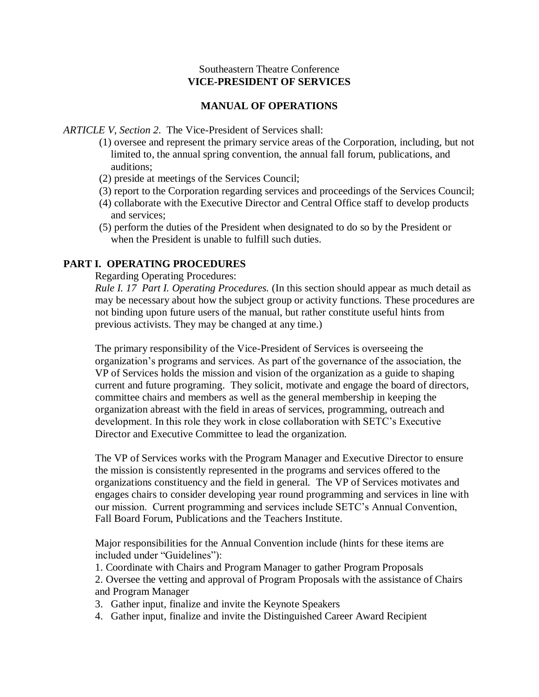#### Southeastern Theatre Conference **VICE-PRESIDENT OF SERVICES**

#### **MANUAL OF OPERATIONS**

*ARTICLE V, Section 2*. The Vice-President of Services shall:

- (1) oversee and represent the primary service areas of the Corporation, including, but not limited to, the annual spring convention, the annual fall forum, publications, and auditions;
- (2) preside at meetings of the Services Council;
- (3) report to the Corporation regarding services and proceedings of the Services Council;
- (4) collaborate with the Executive Director and Central Office staff to develop products and services;
- (5) perform the duties of the President when designated to do so by the President or when the President is unable to fulfill such duties.

#### **PART I. OPERATING PROCEDURES**

Regarding Operating Procedures:

*Rule I. 17 Part I. Operating Procedures.* (In this section should appear as much detail as may be necessary about how the subject group or activity functions. These procedures are not binding upon future users of the manual, but rather constitute useful hints from previous activists. They may be changed at any time.)

The primary responsibility of the Vice-President of Services is overseeing the organization's programs and services. As part of the governance of the association, the VP of Services holds the mission and vision of the organization as a guide to shaping current and future programing. They solicit, motivate and engage the board of directors, committee chairs and members as well as the general membership in keeping the organization abreast with the field in areas of services, programming, outreach and development. In this role they work in close collaboration with SETC's Executive Director and Executive Committee to lead the organization.

The VP of Services works with the Program Manager and Executive Director to ensure the mission is consistently represented in the programs and services offered to the organizations constituency and the field in general. The VP of Services motivates and engages chairs to consider developing year round programming and services in line with our mission. Current programming and services include SETC's Annual Convention, Fall Board Forum, Publications and the Teachers Institute.

Major responsibilities for the Annual Convention include (hints for these items are included under "Guidelines"):

1. Coordinate with Chairs and Program Manager to gather Program Proposals 2. Oversee the vetting and approval of Program Proposals with the assistance of Chairs and Program Manager

- 3. Gather input, finalize and invite the Keynote Speakers
- 4. Gather input, finalize and invite the Distinguished Career Award Recipient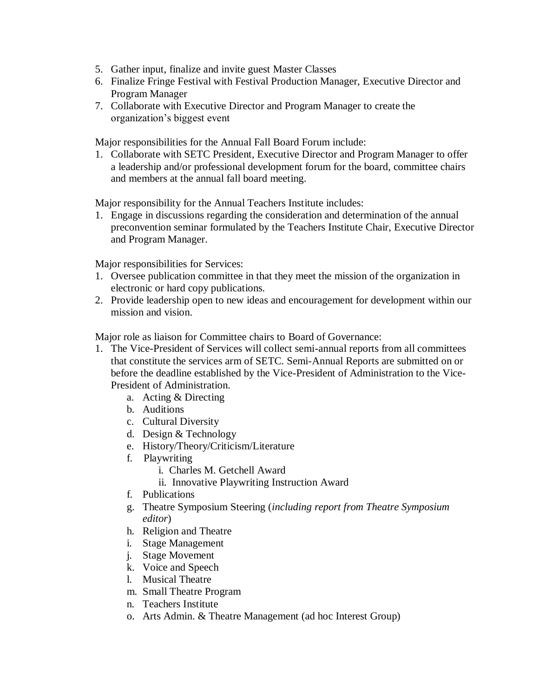- 5. Gather input, finalize and invite guest Master Classes
- 6. Finalize Fringe Festival with Festival Production Manager, Executive Director and Program Manager
- 7. Collaborate with Executive Director and Program Manager to create the organization's biggest event

Major responsibilities for the Annual Fall Board Forum include:

1. Collaborate with SETC President, Executive Director and Program Manager to offer a leadership and/or professional development forum for the board, committee chairs and members at the annual fall board meeting.

Major responsibility for the Annual Teachers Institute includes:

1. Engage in discussions regarding the consideration and determination of the annual preconvention seminar formulated by the Teachers Institute Chair, Executive Director and Program Manager.

Major responsibilities for Services:

- 1. Oversee publication committee in that they meet the mission of the organization in electronic or hard copy publications.
- 2. Provide leadership open to new ideas and encouragement for development within our mission and vision.

Major role as liaison for Committee chairs to Board of Governance:

- 1. The Vice-President of Services will collect semi-annual reports from all committees that constitute the services arm of SETC. Semi-Annual Reports are submitted on or before the deadline established by the Vice-President of Administration to the Vice-President of Administration.
	- a. Acting & Directing
	- b. Auditions
	- c. Cultural Diversity
	- d. Design & Technology
	- e. History/Theory/Criticism/Literature
	- f. Playwriting
		- i. Charles M. Getchell Award
		- ii. Innovative Playwriting Instruction Award
	- f. Publications
	- g. Theatre Symposium Steering (*including report from Theatre Symposium editor*)
	- h. Religion and Theatre
	- i. Stage Management
	- j. Stage Movement
	- k. Voice and Speech
	- l. Musical Theatre
	- m. Small Theatre Program
	- n. Teachers Institute
	- o. Arts Admin. & Theatre Management (ad hoc Interest Group)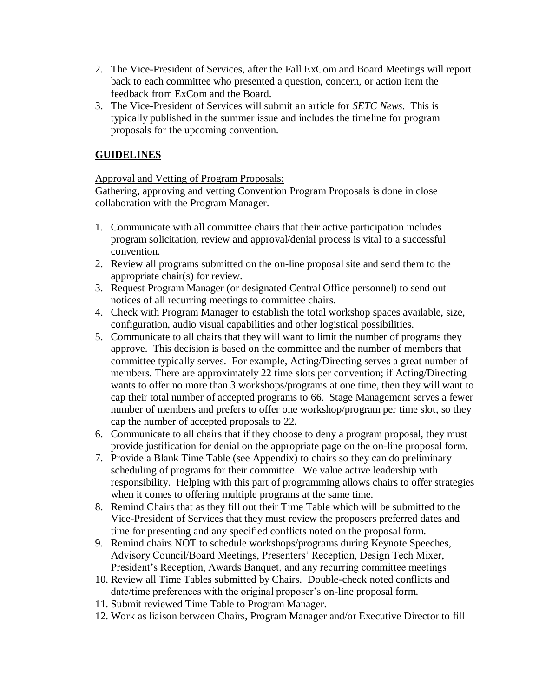- 2. The Vice-President of Services, after the Fall ExCom and Board Meetings will report back to each committee who presented a question, concern, or action item the feedback from ExCom and the Board.
- 3. The Vice-President of Services will submit an article for *SETC News*. This is typically published in the summer issue and includes the timeline for program proposals for the upcoming convention.

# **GUIDELINES**

## Approval and Vetting of Program Proposals:

Gathering, approving and vetting Convention Program Proposals is done in close collaboration with the Program Manager.

- 1. Communicate with all committee chairs that their active participation includes program solicitation, review and approval/denial process is vital to a successful convention.
- 2. Review all programs submitted on the on-line proposal site and send them to the appropriate chair(s) for review.
- 3. Request Program Manager (or designated Central Office personnel) to send out notices of all recurring meetings to committee chairs.
- 4. Check with Program Manager to establish the total workshop spaces available, size, configuration, audio visual capabilities and other logistical possibilities.
- 5. Communicate to all chairs that they will want to limit the number of programs they approve. This decision is based on the committee and the number of members that committee typically serves. For example, Acting/Directing serves a great number of members. There are approximately 22 time slots per convention; if Acting/Directing wants to offer no more than 3 workshops/programs at one time, then they will want to cap their total number of accepted programs to 66. Stage Management serves a fewer number of members and prefers to offer one workshop/program per time slot, so they cap the number of accepted proposals to 22.
- 6. Communicate to all chairs that if they choose to deny a program proposal, they must provide justification for denial on the appropriate page on the on-line proposal form.
- 7. Provide a Blank Time Table (see Appendix) to chairs so they can do preliminary scheduling of programs for their committee. We value active leadership with responsibility. Helping with this part of programming allows chairs to offer strategies when it comes to offering multiple programs at the same time.
- 8. Remind Chairs that as they fill out their Time Table which will be submitted to the Vice-President of Services that they must review the proposers preferred dates and time for presenting and any specified conflicts noted on the proposal form.
- 9. Remind chairs NOT to schedule workshops/programs during Keynote Speeches, Advisory Council/Board Meetings, Presenters' Reception, Design Tech Mixer, President's Reception, Awards Banquet, and any recurring committee meetings
- 10. Review all Time Tables submitted by Chairs. Double-check noted conflicts and date/time preferences with the original proposer's on-line proposal form.
- 11. Submit reviewed Time Table to Program Manager.
- 12. Work as liaison between Chairs, Program Manager and/or Executive Director to fill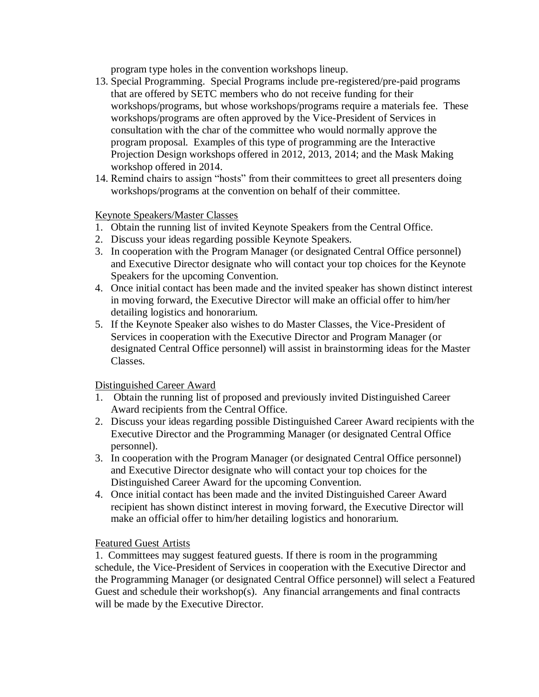program type holes in the convention workshops lineup.

- 13. Special Programming. Special Programs include pre-registered/pre-paid programs that are offered by SETC members who do not receive funding for their workshops/programs, but whose workshops/programs require a materials fee. These workshops/programs are often approved by the Vice-President of Services in consultation with the char of the committee who would normally approve the program proposal. Examples of this type of programming are the Interactive Projection Design workshops offered in 2012, 2013, 2014; and the Mask Making workshop offered in 2014.
- 14. Remind chairs to assign "hosts" from their committees to greet all presenters doing workshops/programs at the convention on behalf of their committee.

## Keynote Speakers/Master Classes

- 1. Obtain the running list of invited Keynote Speakers from the Central Office.
- 2. Discuss your ideas regarding possible Keynote Speakers.
- 3. In cooperation with the Program Manager (or designated Central Office personnel) and Executive Director designate who will contact your top choices for the Keynote Speakers for the upcoming Convention.
- 4. Once initial contact has been made and the invited speaker has shown distinct interest in moving forward, the Executive Director will make an official offer to him/her detailing logistics and honorarium.
- 5. If the Keynote Speaker also wishes to do Master Classes, the Vice-President of Services in cooperation with the Executive Director and Program Manager (or designated Central Office personnel) will assist in brainstorming ideas for the Master Classes.

## Distinguished Career Award

- 1. Obtain the running list of proposed and previously invited Distinguished Career Award recipients from the Central Office.
- 2. Discuss your ideas regarding possible Distinguished Career Award recipients with the Executive Director and the Programming Manager (or designated Central Office personnel).
- 3. In cooperation with the Program Manager (or designated Central Office personnel) and Executive Director designate who will contact your top choices for the Distinguished Career Award for the upcoming Convention.
- 4. Once initial contact has been made and the invited Distinguished Career Award recipient has shown distinct interest in moving forward, the Executive Director will make an official offer to him/her detailing logistics and honorarium.

## Featured Guest Artists

1. Committees may suggest featured guests. If there is room in the programming schedule, the Vice-President of Services in cooperation with the Executive Director and the Programming Manager (or designated Central Office personnel) will select a Featured Guest and schedule their workshop(s). Any financial arrangements and final contracts will be made by the Executive Director.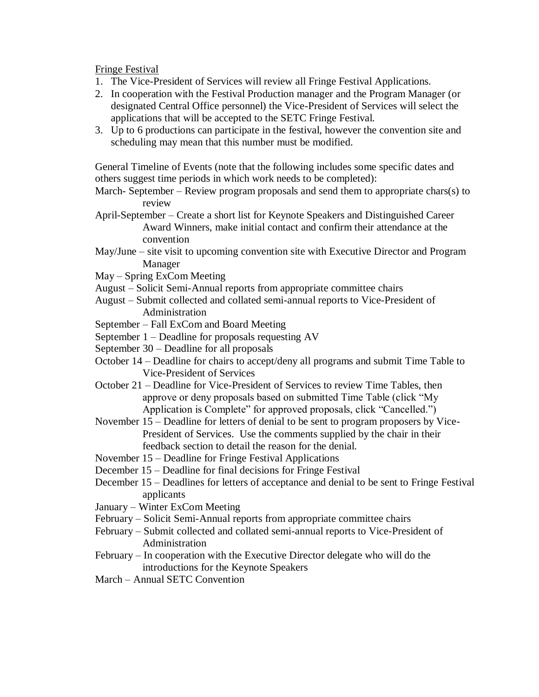Fringe Festival

- 1. The Vice-President of Services will review all Fringe Festival Applications.
- 2. In cooperation with the Festival Production manager and the Program Manager (or designated Central Office personnel) the Vice-President of Services will select the applications that will be accepted to the SETC Fringe Festival.
- 3. Up to 6 productions can participate in the festival, however the convention site and scheduling may mean that this number must be modified.

General Timeline of Events (note that the following includes some specific dates and others suggest time periods in which work needs to be completed):

March- September – Review program proposals and send them to appropriate chars(s) to review

April-September – Create a short list for Keynote Speakers and Distinguished Career Award Winners, make initial contact and confirm their attendance at the convention

- May/June site visit to upcoming convention site with Executive Director and Program Manager
- May Spring ExCom Meeting
- August Solicit Semi-Annual reports from appropriate committee chairs
- August Submit collected and collated semi-annual reports to Vice-President of Administration

September – Fall ExCom and Board Meeting

- September 1 Deadline for proposals requesting AV
- September 30 Deadline for all proposals
- October 14 Deadline for chairs to accept/deny all programs and submit Time Table to Vice-President of Services
- October 21 Deadline for Vice-President of Services to review Time Tables, then approve or deny proposals based on submitted Time Table (click "My Application is Complete" for approved proposals, click "Cancelled.")
- November 15 Deadline for letters of denial to be sent to program proposers by Vice-President of Services. Use the comments supplied by the chair in their feedback section to detail the reason for the denial.
- November 15 Deadline for Fringe Festival Applications
- December 15 Deadline for final decisions for Fringe Festival
- December 15 Deadlines for letters of acceptance and denial to be sent to Fringe Festival applicants
- January Winter ExCom Meeting
- February Solicit Semi-Annual reports from appropriate committee chairs
- February Submit collected and collated semi-annual reports to Vice-President of Administration
- February In cooperation with the Executive Director delegate who will do the introductions for the Keynote Speakers
- March Annual SETC Convention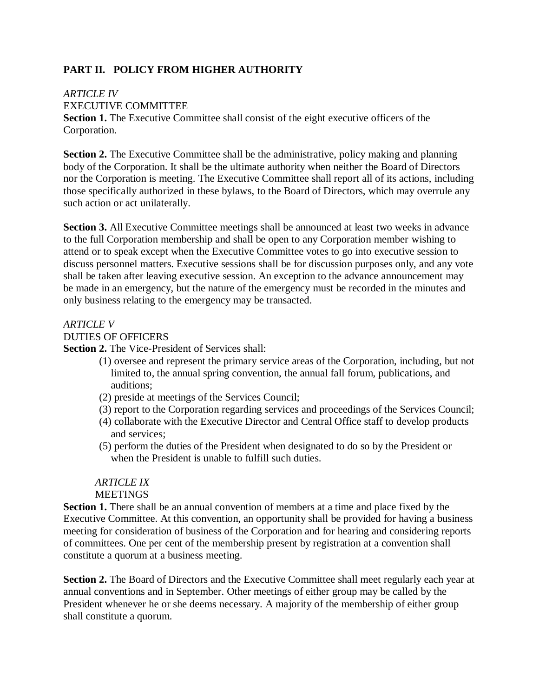# **PART II. POLICY FROM HIGHER AUTHORITY**

#### *ARTICLE IV*

EXECUTIVE COMMITTEE

**Section 1.** The Executive Committee shall consist of the eight executive officers of the Corporation.

**Section 2.** The Executive Committee shall be the administrative, policy making and planning body of the Corporation. It shall be the ultimate authority when neither the Board of Directors nor the Corporation is meeting. The Executive Committee shall report all of its actions, including those specifically authorized in these bylaws, to the Board of Directors, which may overrule any such action or act unilaterally.

**Section 3.** All Executive Committee meetings shall be announced at least two weeks in advance to the full Corporation membership and shall be open to any Corporation member wishing to attend or to speak except when the Executive Committee votes to go into executive session to discuss personnel matters. Executive sessions shall be for discussion purposes only, and any vote shall be taken after leaving executive session. An exception to the advance announcement may be made in an emergency, but the nature of the emergency must be recorded in the minutes and only business relating to the emergency may be transacted.

#### *ARTICLE V*

#### DUTIES OF OFFICERS

**Section 2.** The Vice-President of Services shall:

- (1) oversee and represent the primary service areas of the Corporation, including, but not limited to, the annual spring convention, the annual fall forum, publications, and auditions;
- (2) preside at meetings of the Services Council;
- (3) report to the Corporation regarding services and proceedings of the Services Council;
- (4) collaborate with the Executive Director and Central Office staff to develop products and services;
- (5) perform the duties of the President when designated to do so by the President or when the President is unable to fulfill such duties.

# *ARTICLE IX* **MEETINGS**

**Section 1.** There shall be an annual convention of members at a time and place fixed by the Executive Committee. At this convention, an opportunity shall be provided for having a business meeting for consideration of business of the Corporation and for hearing and considering reports of committees. One per cent of the membership present by registration at a convention shall constitute a quorum at a business meeting.

**Section 2.** The Board of Directors and the Executive Committee shall meet regularly each year at annual conventions and in September. Other meetings of either group may be called by the President whenever he or she deems necessary. A majority of the membership of either group shall constitute a quorum.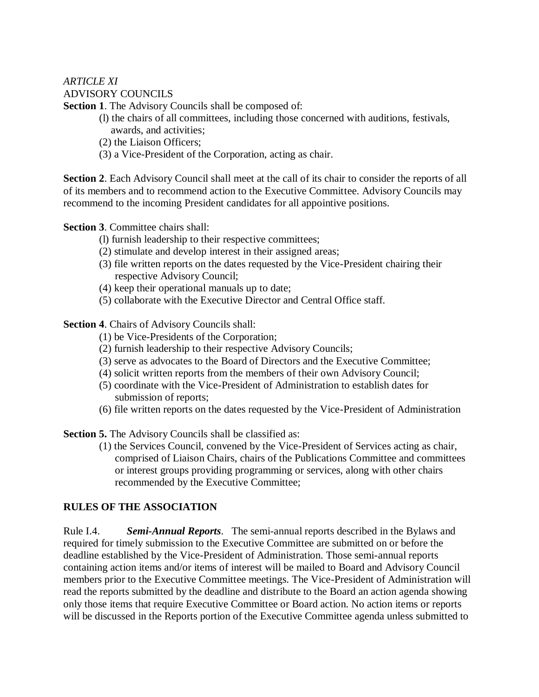# *ARTICLE XI* ADVISORY COUNCILS

**Section 1**. The Advisory Councils shall be composed of:

- (l) the chairs of all committees, including those concerned with auditions, festivals, awards, and activities;
- (2) the Liaison Officers;
- (3) a Vice-President of the Corporation, acting as chair.

**Section 2**. Each Advisory Council shall meet at the call of its chair to consider the reports of all of its members and to recommend action to the Executive Committee. Advisory Councils may recommend to the incoming President candidates for all appointive positions.

**Section 3**. Committee chairs shall:

- (l) furnish leadership to their respective committees;
- (2) stimulate and develop interest in their assigned areas;
- (3) file written reports on the dates requested by the Vice-President chairing their respective Advisory Council;
- (4) keep their operational manuals up to date;
- (5) collaborate with the Executive Director and Central Office staff.

**Section 4**. Chairs of Advisory Councils shall:

- (1) be Vice-Presidents of the Corporation;
- (2) furnish leadership to their respective Advisory Councils;
- (3) serve as advocates to the Board of Directors and the Executive Committee;
- (4) solicit written reports from the members of their own Advisory Council;
- (5) coordinate with the Vice-President of Administration to establish dates for submission of reports;
- (6) file written reports on the dates requested by the Vice-President of Administration

**Section 5.** The Advisory Councils shall be classified as:

(1) the Services Council, convened by the Vice-President of Services acting as chair, comprised of Liaison Chairs, chairs of the Publications Committee and committees or interest groups providing programming or services, along with other chairs recommended by the Executive Committee;

## **RULES OF THE ASSOCIATION**

Rule I.4. *Semi-Annual Reports*. The semi-annual reports described in the Bylaws and required for timely submission to the Executive Committee are submitted on or before the deadline established by the Vice-President of Administration. Those semi-annual reports containing action items and/or items of interest will be mailed to Board and Advisory Council members prior to the Executive Committee meetings. The Vice-President of Administration will read the reports submitted by the deadline and distribute to the Board an action agenda showing only those items that require Executive Committee or Board action. No action items or reports will be discussed in the Reports portion of the Executive Committee agenda unless submitted to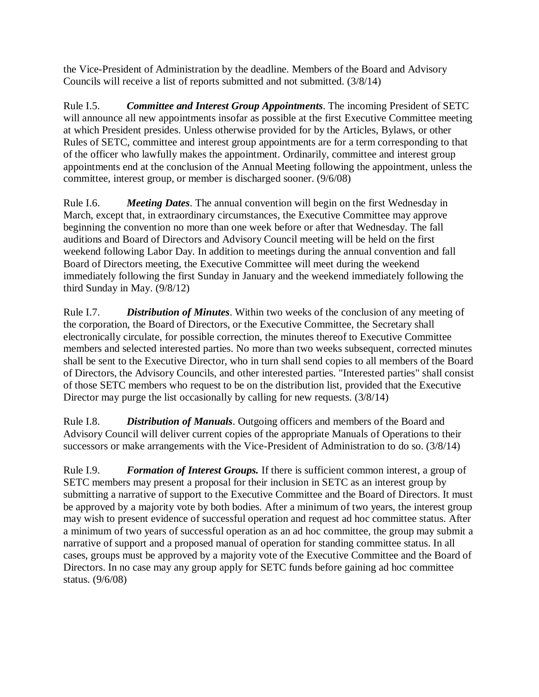the Vice-President of Administration by the deadline. Members of the Board and Advisory Councils will receive a list of reports submitted and not submitted. (3/8/14)

Rule I.5. *Committee and Interest Group Appointments*. The incoming President of SETC will announce all new appointments insofar as possible at the first Executive Committee meeting at which President presides. Unless otherwise provided for by the Articles, Bylaws, or other Rules of SETC, committee and interest group appointments are for a term corresponding to that of the officer who lawfully makes the appointment. Ordinarily, committee and interest group appointments end at the conclusion of the Annual Meeting following the appointment, unless the committee, interest group, or member is discharged sooner. (9/6/08)

Rule I.6. *Meeting Dates*. The annual convention will begin on the first Wednesday in March, except that, in extraordinary circumstances, the Executive Committee may approve beginning the convention no more than one week before or after that Wednesday. The fall auditions and Board of Directors and Advisory Council meeting will be held on the first weekend following Labor Day. In addition to meetings during the annual convention and fall Board of Directors meeting, the Executive Committee will meet during the weekend immediately following the first Sunday in January and the weekend immediately following the third Sunday in May. (9/8/12)

Rule I.7. *Distribution of Minutes*. Within two weeks of the conclusion of any meeting of the corporation, the Board of Directors, or the Executive Committee, the Secretary shall electronically circulate, for possible correction, the minutes thereof to Executive Committee members and selected interested parties. No more than two weeks subsequent, corrected minutes shall be sent to the Executive Director, who in turn shall send copies to all members of the Board of Directors, the Advisory Councils, and other interested parties. "Interested parties" shall consist of those SETC members who request to be on the distribution list, provided that the Executive Director may purge the list occasionally by calling for new requests. (3/8/14)

Rule I.8. *Distribution of Manuals*. Outgoing officers and members of the Board and Advisory Council will deliver current copies of the appropriate Manuals of Operations to their successors or make arrangements with the Vice-President of Administration to do so. (3/8/14)

Rule I.9. *Formation of Interest Groups.* If there is sufficient common interest, a group of SETC members may present a proposal for their inclusion in SETC as an interest group by submitting a narrative of support to the Executive Committee and the Board of Directors. It must be approved by a majority vote by both bodies. After a minimum of two years, the interest group may wish to present evidence of successful operation and request ad hoc committee status. After a minimum of two years of successful operation as an ad hoc committee, the group may submit a narrative of support and a proposed manual of operation for standing committee status. In all cases, groups must be approved by a majority vote of the Executive Committee and the Board of Directors. In no case may any group apply for SETC funds before gaining ad hoc committee status. (9/6/08)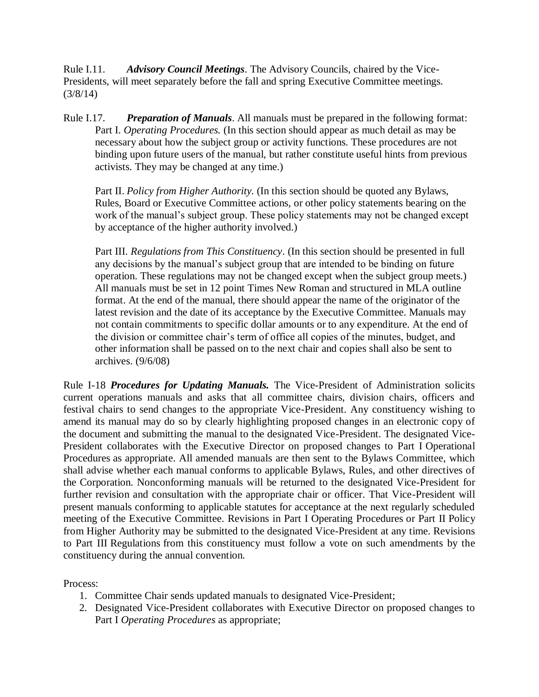Rule I.11. *Advisory Council Meetings*. The Advisory Councils, chaired by the Vice-Presidents, will meet separately before the fall and spring Executive Committee meetings. (3/8/14)

Rule I.17. *Preparation of Manuals*. All manuals must be prepared in the following format: Part I. *Operating Procedures.* (In this section should appear as much detail as may be necessary about how the subject group or activity functions. These procedures are not binding upon future users of the manual, but rather constitute useful hints from previous activists. They may be changed at any time.)

Part II. *Policy from Higher Authority*. (In this section should be quoted any Bylaws, Rules, Board or Executive Committee actions, or other policy statements bearing on the work of the manual's subject group. These policy statements may not be changed except by acceptance of the higher authority involved.)

Part III. *Regulations from This Constituency*. (In this section should be presented in full any decisions by the manual's subject group that are intended to be binding on future operation. These regulations may not be changed except when the subject group meets.) All manuals must be set in 12 point Times New Roman and structured in MLA outline format. At the end of the manual, there should appear the name of the originator of the latest revision and the date of its acceptance by the Executive Committee. Manuals may not contain commitments to specific dollar amounts or to any expenditure. At the end of the division or committee chair's term of office all copies of the minutes, budget, and other information shall be passed on to the next chair and copies shall also be sent to archives. (9/6/08)

Rule I-18 *Procedures for Updating Manuals.* The Vice-President of Administration solicits current operations manuals and asks that all committee chairs, division chairs, officers and festival chairs to send changes to the appropriate Vice-President. Any constituency wishing to amend its manual may do so by clearly highlighting proposed changes in an electronic copy of the document and submitting the manual to the designated Vice-President. The designated Vice-President collaborates with the Executive Director on proposed changes to Part I Operational Procedures as appropriate. All amended manuals are then sent to the Bylaws Committee, which shall advise whether each manual conforms to applicable Bylaws, Rules, and other directives of the Corporation. Nonconforming manuals will be returned to the designated Vice-President for further revision and consultation with the appropriate chair or officer. That Vice-President will present manuals conforming to applicable statutes for acceptance at the next regularly scheduled meeting of the Executive Committee. Revisions in Part I Operating Procedures or Part II Policy from Higher Authority may be submitted to the designated Vice-President at any time. Revisions to Part III Regulations from this constituency must follow a vote on such amendments by the constituency during the annual convention.

Process:

- 1. Committee Chair sends updated manuals to designated Vice-President;
- 2. Designated Vice-President collaborates with Executive Director on proposed changes to Part I *Operating Procedures* as appropriate;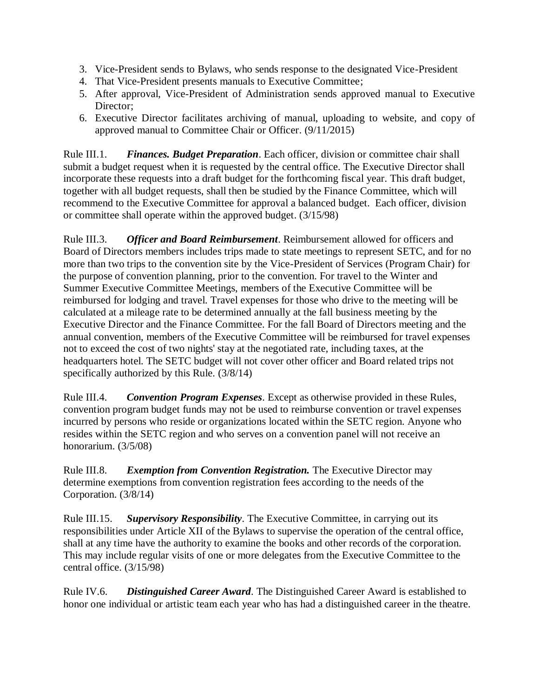- 3. Vice-President sends to Bylaws, who sends response to the designated Vice-President
- 4. That Vice-President presents manuals to Executive Committee;
- 5. After approval, Vice-President of Administration sends approved manual to Executive Director;
- 6. Executive Director facilitates archiving of manual, uploading to website, and copy of approved manual to Committee Chair or Officer. (9/11/2015)

Rule III.1. *Finances. Budget Preparation*. Each officer, division or committee chair shall submit a budget request when it is requested by the central office. The Executive Director shall incorporate these requests into a draft budget for the forthcoming fiscal year. This draft budget, together with all budget requests, shall then be studied by the Finance Committee, which will recommend to the Executive Committee for approval a balanced budget. Each officer, division or committee shall operate within the approved budget. (3/15/98)

Rule III.3. *Officer and Board Reimbursement*. Reimbursement allowed for officers and Board of Directors members includes trips made to state meetings to represent SETC, and for no more than two trips to the convention site by the Vice-President of Services (Program Chair) for the purpose of convention planning, prior to the convention. For travel to the Winter and Summer Executive Committee Meetings, members of the Executive Committee will be reimbursed for lodging and travel. Travel expenses for those who drive to the meeting will be calculated at a mileage rate to be determined annually at the fall business meeting by the Executive Director and the Finance Committee. For the fall Board of Directors meeting and the annual convention, members of the Executive Committee will be reimbursed for travel expenses not to exceed the cost of two nights' stay at the negotiated rate, including taxes, at the headquarters hotel. The SETC budget will not cover other officer and Board related trips not specifically authorized by this Rule. (3/8/14)

Rule III.4. *Convention Program Expenses*. Except as otherwise provided in these Rules, convention program budget funds may not be used to reimburse convention or travel expenses incurred by persons who reside or organizations located within the SETC region. Anyone who resides within the SETC region and who serves on a convention panel will not receive an honorarium. (3/5/08)

Rule III.8. *Exemption from Convention Registration.* The Executive Director may determine exemptions from convention registration fees according to the needs of the Corporation. (3/8/14)

Rule III.15. *Supervisory Responsibility*. The Executive Committee, in carrying out its responsibilities under Article XII of the Bylaws to supervise the operation of the central office, shall at any time have the authority to examine the books and other records of the corporation. This may include regular visits of one or more delegates from the Executive Committee to the central office. (3/15/98)

Rule IV.6. *Distinguished Career Award*. The Distinguished Career Award is established to honor one individual or artistic team each year who has had a distinguished career in the theatre.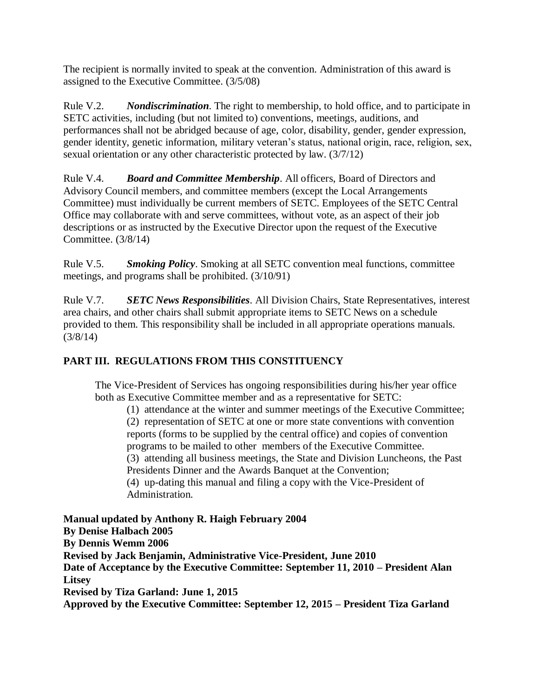The recipient is normally invited to speak at the convention. Administration of this award is assigned to the Executive Committee. (3/5/08)

Rule V.2. *Nondiscrimination*. The right to membership, to hold office, and to participate in SETC activities, including (but not limited to) conventions, meetings, auditions, and performances shall not be abridged because of age, color, disability, gender, gender expression, gender identity, genetic information, military veteran's status, national origin, race, religion, sex, sexual orientation or any other characteristic protected by law. (3/7/12)

Rule V.4. *Board and Committee Membership*. All officers, Board of Directors and Advisory Council members, and committee members (except the Local Arrangements Committee) must individually be current members of SETC. Employees of the SETC Central Office may collaborate with and serve committees, without vote, as an aspect of their job descriptions or as instructed by the Executive Director upon the request of the Executive Committee. (3/8/14)

Rule V.5. *Smoking Policy*. Smoking at all SETC convention meal functions, committee meetings, and programs shall be prohibited. (3/10/91)

Rule V.7. *SETC News Responsibilities*. All Division Chairs, State Representatives, interest area chairs, and other chairs shall submit appropriate items to SETC News on a schedule provided to them. This responsibility shall be included in all appropriate operations manuals. (3/8/14)

# **PART III. REGULATIONS FROM THIS CONSTITUENCY**

The Vice-President of Services has ongoing responsibilities during his/her year office both as Executive Committee member and as a representative for SETC:

(1) attendance at the winter and summer meetings of the Executive Committee; (2) representation of SETC at one or more state conventions with convention reports (forms to be supplied by the central office) and copies of convention programs to be mailed to other members of the Executive Committee. (3) attending all business meetings, the State and Division Luncheons, the Past Presidents Dinner and the Awards Banquet at the Convention; (4) up-dating this manual and filing a copy with the Vice-President of Administration.

**Manual updated by Anthony R. Haigh February 2004 By Denise Halbach 2005 By Dennis Wemm 2006 Revised by Jack Benjamin, Administrative Vice-President, June 2010 Date of Acceptance by the Executive Committee: September 11, 2010 – President Alan Litsey Revised by Tiza Garland: June 1, 2015 Approved by the Executive Committee: September 12, 2015 – President Tiza Garland**